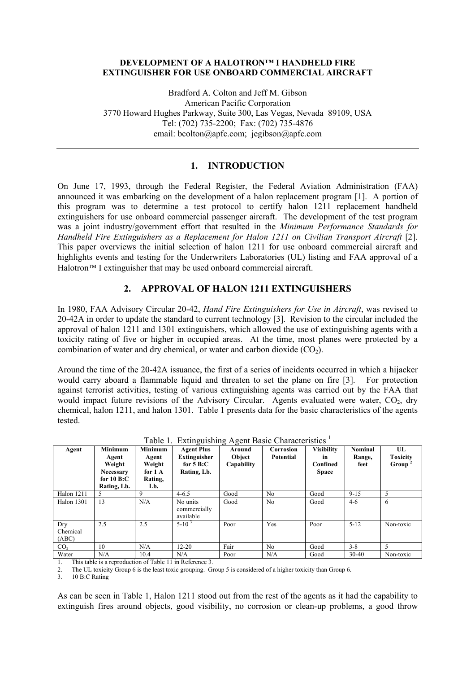#### **DEVELOPMENT OF A HALOTRON™ I HANDHELD FIRE EXTINGUISHER FOR USE ONBOARD COMMERCIAL AIRCRAFT**

Bradford A. Colton and Jeff M. Gibson American Pacific Corporation 3770 Howard Hughes Parkway, Suite 300, Las Vegas, Nevada 89109, USA Tel: (702) 735-2200; Fax: (702) 735-4876 email: bcolton@apfc.com; jegibson@apfc.com

## **1. INTRODUCTION**

On June 17, 1993, through the Federal Register, the Federal Aviation Administration (FAA) announced it was embarking on the development of a halon replacement program [1]. A portion of this program was to determine a test protocol to certify halon 1211 replacement handheld extinguishers for use onboard commercial passenger aircraft. The development of the test program was a joint industry/government effort that resulted in the *Minimum Performance Standards for Handheld Fire Extinguishers as a Replacement for Halon 1211 on Civilian Transport Aircraft* [2]. This paper overviews the initial selection of halon 1211 for use onboard commercial aircraft and highlights events and testing for the Underwriters Laboratories (UL) listing and FAA approval of a  $H$ alotron<sup> $TM$ </sup> I extinguisher that may be used onboard commercial aircraft.

# **2. APPROVAL OF HALON 1211 EXTINGUISHERS**

In 1980, FAA Advisory Circular 20-42, *Hand Fire Extinguishers for Use in Aircraft*, was revised to 20-42A in order to update the standard to current technology [3]. Revision to the circular included the approval of halon 1211 and 1301 extinguishers, which allowed the use of extinguishing agents with a toxicity rating of five or higher in occupied areas. At the time, most planes were protected by a combination of water and dry chemical, or water and carbon dioxide  $(CO<sub>2</sub>)$ .

Around the time of the 20-42A issuance, the first of a series of incidents occurred in which a hijacker would carry aboard a flammable liquid and threaten to set the plane on fire [3]. For protection against terrorist activities, testing of various extinguishing agents was carried out by the FAA that would impact future revisions of the Advisory Circular. Agents evaluated were water,  $CO<sub>2</sub>$ , dry chemical, halon 1211, and halon 1301. Table 1 presents data for the basic characteristics of the agents tested.

| Agent                    | <b>Minimum</b><br>Agent<br>Weight<br><b>Necessary</b><br>for $10 B:C$<br>Rating, Lb. | <b>Minimum</b><br>Agent<br>Weight<br>for $1 \text{ A}$<br>Rating,<br>Lb. | <b>Agent Plus</b><br><b>Extinguisher</b><br>for $5B:C$<br>Rating, Lb. | Around<br>Object<br>Capability | Corrosion<br><b>Potential</b> | <b>Visibility</b><br><b>in</b><br>Confined<br><b>Space</b> | Nominal<br>Range,<br>feet | UL<br><b>Toxicity</b><br>Group |
|--------------------------|--------------------------------------------------------------------------------------|--------------------------------------------------------------------------|-----------------------------------------------------------------------|--------------------------------|-------------------------------|------------------------------------------------------------|---------------------------|--------------------------------|
| <b>Halon 1211</b>        | 5                                                                                    | 9                                                                        | $4 - 6.5$                                                             | Good                           | N <sub>o</sub>                | Good                                                       | $9 - 15$                  | 5                              |
| Halon 1301               | 13                                                                                   | N/A                                                                      | No units<br>commercially<br>available                                 | Good                           | No                            | Good                                                       | $4-6$                     | 6                              |
| Drv<br>Chemical<br>(ABC) | 2.5                                                                                  | 2.5                                                                      | $5-10^{3}$                                                            | Poor                           | Yes                           | Poor                                                       | $5 - 12$                  | Non-toxic                      |
| CO <sub>2</sub>          | 10                                                                                   | N/A                                                                      | $12 - 20$                                                             | Fair                           | N <sub>0</sub>                | Good                                                       | $3 - 8$                   | 5                              |
| Water                    | N/A                                                                                  | 10.4                                                                     | N/A                                                                   | Poor                           | N/A                           | Good                                                       | $30 - 40$                 | Non-toxic                      |

Table 1. Extinguishing Agent Basic Characteristics  $<sup>1</sup>$ </sup>

1. This table is a reproduction of Table 11 in Reference 3.

2. The UL toxicity Group 6 is the least toxic grouping. Group 5 is considered of a higher toxicity than Group 6.<br>10 B:C Rating

10 B:C Rating

As can be seen in Table 1, Halon 1211 stood out from the rest of the agents as it had the capability to extinguish fires around objects, good visibility, no corrosion or clean-up problems, a good throw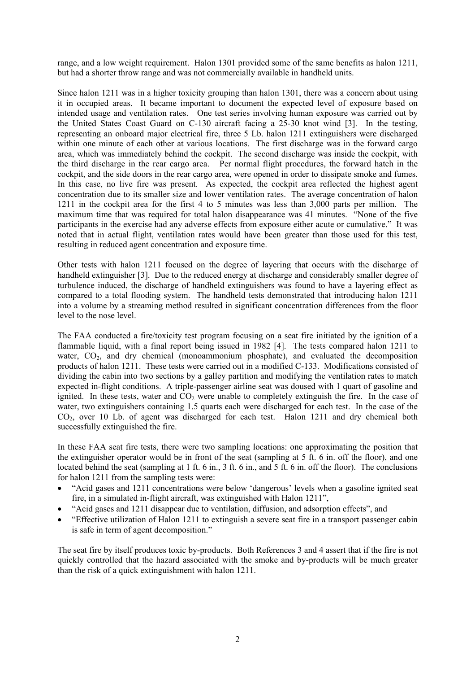range, and a low weight requirement. Halon 1301 provided some of the same benefits as halon 1211, but had a shorter throw range and was not commercially available in handheld units.

Since halon 1211 was in a higher toxicity grouping than halon 1301, there was a concern about using it in occupied areas. It became important to document the expected level of exposure based on intended usage and ventilation rates. One test series involving human exposure was carried out by the United States Coast Guard on C-130 aircraft facing a 25-30 knot wind [3]. In the testing, representing an onboard major electrical fire, three 5 Lb. halon 1211 extinguishers were discharged within one minute of each other at various locations. The first discharge was in the forward cargo area, which was immediately behind the cockpit. The second discharge was inside the cockpit, with the third discharge in the rear cargo area. Per normal flight procedures, the forward hatch in the cockpit, and the side doors in the rear cargo area, were opened in order to dissipate smoke and fumes. In this case, no live fire was present. As expected, the cockpit area reflected the highest agent concentration due to its smaller size and lower ventilation rates. The average concentration of halon 1211 in the cockpit area for the first 4 to 5 minutes was less than 3,000 parts per million. The maximum time that was required for total halon disappearance was 41 minutes. "None of the five participants in the exercise had any adverse effects from exposure either acute or cumulative." It was noted that in actual flight, ventilation rates would have been greater than those used for this test, resulting in reduced agent concentration and exposure time.

Other tests with halon 1211 focused on the degree of layering that occurs with the discharge of handheld extinguisher [3]. Due to the reduced energy at discharge and considerably smaller degree of turbulence induced, the discharge of handheld extinguishers was found to have a layering effect as compared to a total flooding system. The handheld tests demonstrated that introducing halon 1211 into a volume by a streaming method resulted in significant concentration differences from the floor level to the nose level.

The FAA conducted a fire/toxicity test program focusing on a seat fire initiated by the ignition of a flammable liquid, with a final report being issued in 1982 [4]. The tests compared halon 1211 to water,  $CO<sub>2</sub>$ , and dry chemical (monoammonium phosphate), and evaluated the decomposition products of halon 1211. These tests were carried out in a modified C-133. Modifications consisted of dividing the cabin into two sections by a galley partition and modifying the ventilation rates to match expected in-flight conditions. A triple-passenger airline seat was doused with 1 quart of gasoline and ignited. In these tests, water and  $CO<sub>2</sub>$  were unable to completely extinguish the fire. In the case of water, two extinguishers containing 1.5 quarts each were discharged for each test. In the case of the  $CO<sub>2</sub>$ , over 10 Lb. of agent was discharged for each test. Halon 1211 and dry chemical both successfully extinguished the fire.

In these FAA seat fire tests, there were two sampling locations: one approximating the position that the extinguisher operator would be in front of the seat (sampling at 5 ft. 6 in. off the floor), and one located behind the seat (sampling at 1 ft. 6 in., 3 ft. 6 in., and 5 ft. 6 in. off the floor). The conclusions for halon 1211 from the sampling tests were:

- "Acid gases and 1211 concentrations were below 'dangerous' levels when a gasoline ignited seat fire, in a simulated in-flight aircraft, was extinguished with Halon 1211",
- "Acid gases and 1211 disappear due to ventilation, diffusion, and adsorption effects", and
- "Effective utilization of Halon 1211 to extinguish a severe seat fire in a transport passenger cabin is safe in term of agent decomposition."

The seat fire by itself produces toxic by-products. Both References 3 and 4 assert that if the fire is not quickly controlled that the hazard associated with the smoke and by-products will be much greater than the risk of a quick extinguishment with halon 1211.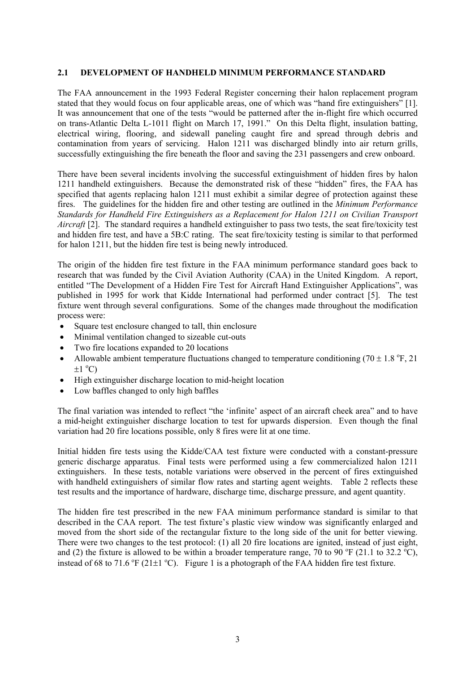#### **2.1 DEVELOPMENT OF HANDHELD MINIMUM PERFORMANCE STANDARD**

The FAA announcement in the 1993 Federal Register concerning their halon replacement program stated that they would focus on four applicable areas, one of which was "hand fire extinguishers" [1]. It was announcement that one of the tests "would be patterned after the in-flight fire which occurred on trans-Atlantic Delta L-1011 flight on March 17, 1991." On this Delta flight, insulation batting, electrical wiring, flooring, and sidewall paneling caught fire and spread through debris and contamination from years of servicing. Halon 1211 was discharged blindly into air return grills, successfully extinguishing the fire beneath the floor and saving the 231 passengers and crew onboard.

There have been several incidents involving the successful extinguishment of hidden fires by halon 1211 handheld extinguishers. Because the demonstrated risk of these "hidden" fires, the FAA has specified that agents replacing halon 1211 must exhibit a similar degree of protection against these fires. The guidelines for the hidden fire and other testing are outlined in the *Minimum Performance Standards for Handheld Fire Extinguishers as a Replacement for Halon 1211 on Civilian Transport Aircraft* [2]. The standard requires a handheld extinguisher to pass two tests, the seat fire/toxicity test and hidden fire test, and have a 5B:C rating. The seat fire/toxicity testing is similar to that performed for halon 1211, but the hidden fire test is being newly introduced.

The origin of the hidden fire test fixture in the FAA minimum performance standard goes back to research that was funded by the Civil Aviation Authority (CAA) in the United Kingdom. A report, entitled "The Development of a Hidden Fire Test for Aircraft Hand Extinguisher Applications", was published in 1995 for work that Kidde International had performed under contract [5]. The test fixture went through several configurations. Some of the changes made throughout the modification process were:

- Square test enclosure changed to tall, thin enclosure
- Minimal ventilation changed to sizeable cut-outs
- Two fire locations expanded to 20 locations
- Allowable ambient temperature fluctuations changed to temperature conditioning (70  $\pm$  1.8 °F, 21)  $\pm 1$  °C)
- High extinguisher discharge location to mid-height location
- Low baffles changed to only high baffles

The final variation was intended to reflect "the 'infinite' aspect of an aircraft cheek area" and to have a mid-height extinguisher discharge location to test for upwards dispersion. Even though the final variation had 20 fire locations possible, only 8 fires were lit at one time.

Initial hidden fire tests using the Kidde/CAA test fixture were conducted with a constant-pressure generic discharge apparatus. Final tests were performed using a few commercialized halon 1211 extinguishers. In these tests, notable variations were observed in the percent of fires extinguished with handheld extinguishers of similar flow rates and starting agent weights. Table 2 reflects these test results and the importance of hardware, discharge time, discharge pressure, and agent quantity.

The hidden fire test prescribed in the new FAA minimum performance standard is similar to that described in the CAA report. The test fixture's plastic view window was significantly enlarged and moved from the short side of the rectangular fixture to the long side of the unit for better viewing. There were two changes to the test protocol: (1) all 20 fire locations are ignited, instead of just eight, and (2) the fixture is allowed to be within a broader temperature range, 70 to 90  $\rm{^{\circ}F}$  (21.1 to 32.2  $\rm{^{\circ}C}$ ), instead of 68 to 71.6  $^{\circ}$ F (21 $\pm$ 1  $^{\circ}$ C). Figure 1 is a photograph of the FAA hidden fire test fixture.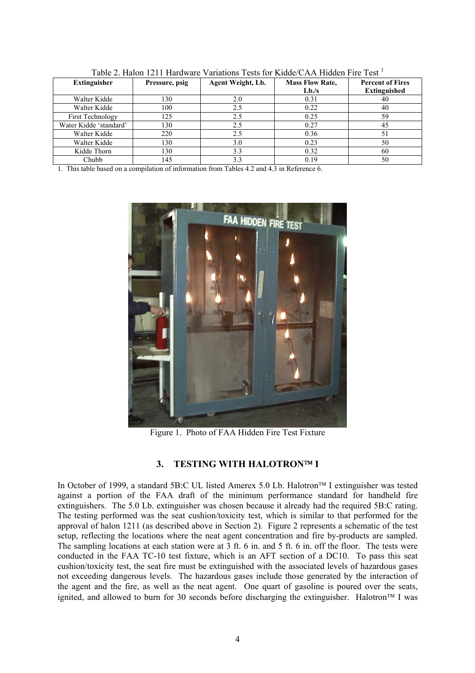| <b>Extinguisher</b>     | Pressure, psig | Agent Weight, Lb. | <b>Mass Flow Rate,</b> | <b>Percent of Fires</b> |  |
|-------------------------|----------------|-------------------|------------------------|-------------------------|--|
|                         |                |                   | L <sub>b</sub> /s      | <b>Extinguished</b>     |  |
| Walter Kidde            | 130            | 2.0               | 0.31                   | 40                      |  |
| Walter Kidde            | 100            | 2.5               | 0.22                   | 40                      |  |
| <b>First Technology</b> | 125            | 2.5               | 0.25                   | 59                      |  |
| Water Kidde 'standard'  | 130            | 2.5               | 0.27                   | 45                      |  |
| Walter Kidde            | 220            | 2.5               | 0.36                   | 51                      |  |
| Walter Kidde            | 130            | 3.0               | 0.23                   | 50                      |  |
| Kidde Thorn             | 130            | 3.3               | 0.32                   | 60                      |  |
| Chubb                   | 145            | 3.3               | 0.19                   | 50                      |  |

Table 2. Halon 1211 Hardware Variations Tests for Kidde/CAA Hidden Fire Test <sup>1</sup>

1. This table based on a compilation of information from Tables 4.2 and 4.3 in Reference 6.



Figure 1. Photo of FAA Hidden Fire Test Fixture

# 3. TESTING WITH HALOTRONTM I

In October of 1999, a standard 5B:C UL listed Amerex 5.0 Lb. Halotron<sup>™</sup> I extinguisher was tested against a portion of the FAA draft of the minimum performance standard for handheld fire extinguishers. The 5.0 Lb. extinguisher was chosen because it already had the required 5B:C rating. The testing performed was the seat cushion/toxicity test, which is similar to that performed for the approval of halon 1211 (as described above in Section 2). Figure 2 represents a schematic of the test setup, reflecting the locations where the neat agent concentration and fire by-products are sampled. The sampling locations at each station were at 3 ft. 6 in. and 5 ft. 6 in. off the floor. The tests were conducted in the FAA TC-10 test fixture, which is an AFT section of a DC10. To pass this seat cushion/toxicity test, the seat fire must be extinguished with the associated levels of hazardous gases not exceeding dangerous levels. The hazardous gases include those generated by the interaction of the agent and the fire, as well as the neat agent. One quart of gasoline is poured over the seats, ignited, and allowed to burn for 30 seconds before discharging the extinguisher. Halotron<sup> $TM$ </sup> I was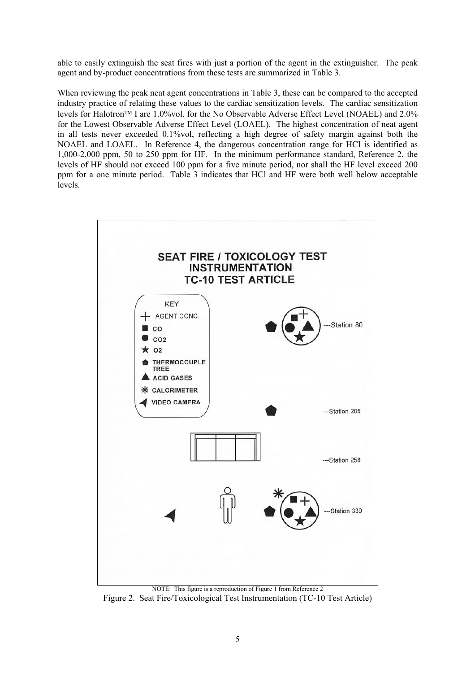able to easily extinguish the seat fires with just a portion of the agent in the extinguisher. The peak agent and by-product concentrations from these tests are summarized in Table 3.

When reviewing the peak neat agent concentrations in Table 3, these can be compared to the accepted industry practice of relating these values to the cardiac sensitization levels. The cardiac sensitization levels for Halotron<sup>TM</sup> I are 1.0%vol. for the No Observable Adverse Effect Level (NOAEL) and 2.0% for the Lowest Observable Adverse Effect Level (LOAEL). The highest concentration of neat agent in all tests never exceeded 0.1%vol, reflecting a high degree of safety margin against both the NOAEL and LOAEL. In Reference 4, the dangerous concentration range for HCl is identified as 1,000-2,000 ppm, 50 to 250 ppm for HF. In the minimum performance standard, Reference 2, the levels of HF should not exceed 100 ppm for a five minute period, nor shall the HF level exceed 200 ppm for a one minute period. Table 3 indicates that HCl and HF were both well below acceptable levels.



NOTE: This figure is a reproduction of Figure 1 from Reference 2 Figure 2. Seat Fire/Toxicological Test Instrumentation (TC-10 Test Article)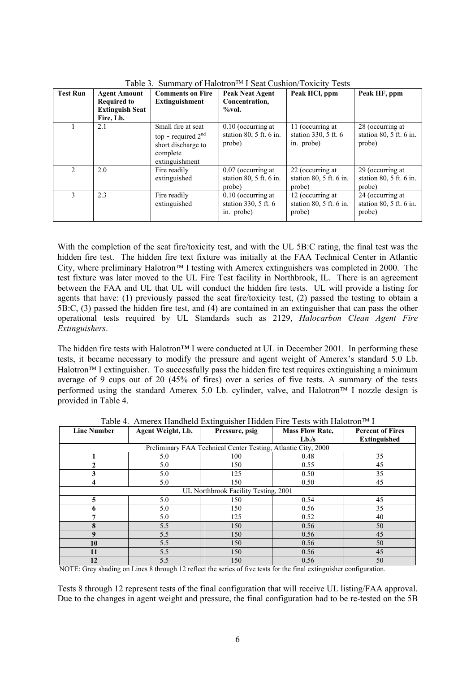| <b>Test Run</b> | <b>Agent Amount</b>    | <b>Comments on Fire</b><br><b>Peak Neat Agent</b>                                              |                                                                  | Peak HCl, ppm                                           | Peak HF, ppm                                            |  |
|-----------------|------------------------|------------------------------------------------------------------------------------------------|------------------------------------------------------------------|---------------------------------------------------------|---------------------------------------------------------|--|
|                 | <b>Required to</b>     | Extinguishment                                                                                 | Concentration,                                                   |                                                         |                                                         |  |
|                 | <b>Extinguish Seat</b> |                                                                                                | %vol.                                                            |                                                         |                                                         |  |
|                 | Fire, Lb.              |                                                                                                |                                                                  |                                                         |                                                         |  |
|                 | 2.1                    | Small fire at seat<br>top - required $2nd$<br>short discharge to<br>complete<br>extinguishment | $0.10$ (occurring at<br>station $80$ , $5$ ft. $6$ in.<br>probe) | 11 (occurring at<br>station 330, 5 ft. 6<br>in. probe)  | 28 (occurring at<br>station $80, 5$ ft. 6 in.<br>probe) |  |
| $\mathfrak{D}$  | 2.0                    | Fire readily<br>extinguished                                                                   | $0.07$ (occurring at<br>station $80, 5$ ft. 6 in.<br>probe)      | 22 (occurring at<br>station $80, 5$ ft. 6 in.<br>probe) | 29 (occurring at<br>station $80, 5$ ft. 6 in.<br>probe) |  |
| 3               | 2.3                    | Fire readily<br>extinguished                                                                   | $0.10$ (occurring at<br>station $330, 5$ ft. 6<br>in. probe)     | 12 (occurring at<br>station $80, 5$ ft. 6 in.<br>probe) | 24 (occurring at<br>station $80, 5$ ft. 6 in.<br>probe) |  |

Table 3. Summary of Halotron<sup>TM</sup> I Seat Cushion/Toxicity Tests

With the completion of the seat fire/toxicity test, and with the UL 5B:C rating, the final test was the hidden fire test. The hidden fire text fixture was initially at the FAA Technical Center in Atlantic City, where preliminary Halotron<sup> $TM$ </sup> I testing with Amerex extinguishers was completed in 2000. The test fixture was later moved to the UL Fire Test facility in Northbrook, IL. There is an agreement between the FAA and UL that UL will conduct the hidden fire tests. UL will provide a listing for agents that have: (1) previously passed the seat fire/toxicity test, (2) passed the testing to obtain a 5B:C, (3) passed the hidden fire test, and (4) are contained in an extinguisher that can pass the other operational tests required by UL Standards such as 2129, *Halocarbon Clean Agent Fire Extinguishers*.

The hidden fire tests with Halotron™ I were conducted at UL in December 2001. In performing these tests, it became necessary to modify the pressure and agent weight of Amerex's standard 5.0 Lb.  $H$ alotron<sup> $TM$ </sup> I extinguisher. To successfully pass the hidden fire test requires extinguishing a minimum average of 9 cups out of 20 (45% of fires) over a series of five tests. A summary of the tests performed using the standard Amerex 5.0 Lb. cylinder, valve, and Halotron<sup>TM</sup> I nozzle design is provided in Table 4.

| <b>Line Number</b>                                            | Agent Weight, Lb. | Pressure, psig | <b>Mass Flow Rate,</b> | <b>Percent of Fires</b> |  |  |  |
|---------------------------------------------------------------|-------------------|----------------|------------------------|-------------------------|--|--|--|
|                                                               |                   |                | L <sub>b</sub> /s      | <b>Extinguished</b>     |  |  |  |
| Preliminary FAA Technical Center Testing, Atlantic City, 2000 |                   |                |                        |                         |  |  |  |
|                                                               | 5.0               | 100            | 0.48                   | 35                      |  |  |  |
|                                                               | 5.0               | 150            | 0.55                   | 45                      |  |  |  |
|                                                               | 5.0               | 125            | 0.50                   | 35                      |  |  |  |
| 4                                                             | 5.0               | 150            | 0.50                   | 45                      |  |  |  |
| UL Northbrook Facility Testing, 2001                          |                   |                |                        |                         |  |  |  |
| 5                                                             | 5.0               | 150            | 0.54                   | 45                      |  |  |  |
|                                                               | 5.0               | 150            | 0.56                   | 35                      |  |  |  |
| 7                                                             | 5.0               | 125            | 0.52                   | 40                      |  |  |  |
| 8                                                             | 5.5               | 150            | 0.56                   | 50                      |  |  |  |
| 9                                                             | 5.5               | 150            | 0.56                   | 45                      |  |  |  |
| 10                                                            | 5.5               | 150            | 0.56                   | 50                      |  |  |  |
| 11                                                            | 5.5               | 150            | 0.56                   | 45                      |  |  |  |
| 12                                                            | 5.5               | 150            | 0.56                   | 50                      |  |  |  |

Table 4. Amerex Handheld Extinguisher Hidden Fire Tests with Halotron<sup>™</sup> I

NOTE: Grey shading on Lines 8 through 12 reflect the series of five tests for the final extinguisher configuration.

Tests 8 through 12 represent tests of the final configuration that will receive UL listing/FAA approval. Due to the changes in agent weight and pressure, the final configuration had to be re-tested on the 5B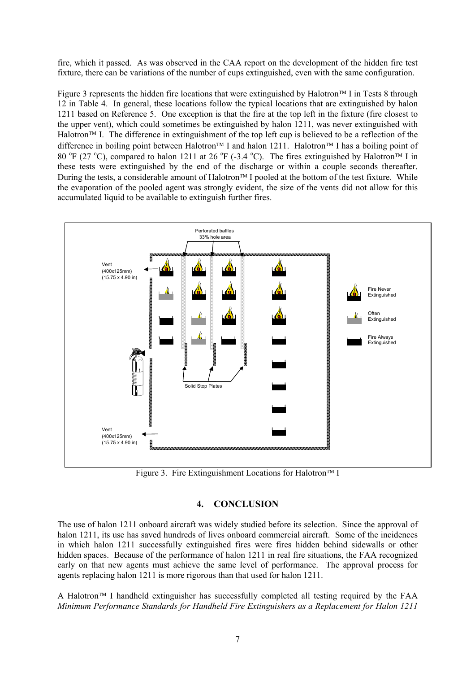fire, which it passed. As was observed in the CAA report on the development of the hidden fire test fixture, there can be variations of the number of cups extinguished, even with the same configuration.

Figure 3 represents the hidden fire locations that were extinguished by Halotron<sup>TM</sup> I in Tests 8 through 12 in Table 4. In general, these locations follow the typical locations that are extinguished by halon 1211 based on Reference 5. One exception is that the fire at the top left in the fixture (fire closest to the upper vent), which could sometimes be extinguished by halon 1211, was never extinguished with Halotron<sup> $TM$ </sup> I. The difference in extinguishment of the top left cup is believed to be a reflection of the difference in boiling point between Halotron<sup>TM</sup> I and halon 1211. Halotron<sup>TM</sup> I has a boiling point of 80 °F (27 °C), compared to halon 1211 at 26 °F (-3.4 °C). The fires extinguished by Halotron<sup>TM</sup> I in these tests were extinguished by the end of the discharge or within a couple seconds thereafter. During the tests, a considerable amount of Halotron<sup> $TM$ </sup> I pooled at the bottom of the test fixture. While the evaporation of the pooled agent was strongly evident, the size of the vents did not allow for this accumulated liquid to be available to extinguish further fires.



Figure 3. Fire Extinguishment Locations for Halotron<sup>TM</sup> I

### **4. CONCLUSION**

The use of halon 1211 onboard aircraft was widely studied before its selection. Since the approval of halon 1211, its use has saved hundreds of lives onboard commercial aircraft. Some of the incidences in which halon 1211 successfully extinguished fires were fires hidden behind sidewalls or other hidden spaces. Because of the performance of halon 1211 in real fire situations, the FAA recognized early on that new agents must achieve the same level of performance. The approval process for agents replacing halon 1211 is more rigorous than that used for halon 1211.

A Halotron<sup> $TM$ </sup> I handheld extinguisher has successfully completed all testing required by the FAA *Minimum Performance Standards for Handheld Fire Extinguishers as a Replacement for Halon 1211*